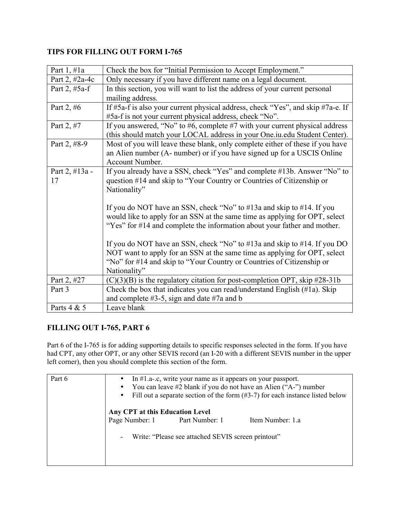## **TIPS FOR FILLING OUT FORM I-765**

| Part $1, \#1a$  | Check the box for "Initial Permission to Accept Employment."                          |
|-----------------|---------------------------------------------------------------------------------------|
| Part 2, #2a-4c  | Only necessary if you have different name on a legal document.                        |
| Part 2, $#5a-f$ | In this section, you will want to list the address of your current personal           |
|                 | mailing address.                                                                      |
| Part 2, #6      | If #5a-f is also your current physical address, check "Yes", and skip #7a-e. If       |
|                 | #5a-f is not your current physical address, check "No".                               |
| Part 2, #7      | If you answered, "No" to $#6$ , complete $#7$ with your current physical address      |
|                 | (this should match your LOCAL address in your One.iu.edu Student Center).             |
| Part 2, #8-9    | Most of you will leave these blank, only complete either of these if you have         |
|                 | an Alien number (A- number) or if you have signed up for a USCIS Online               |
|                 | <b>Account Number.</b>                                                                |
| Part 2, #13a -  | If you already have a SSN, check "Yes" and complete #13b. Answer "No" to              |
| 17              | question #14 and skip to "Your Country or Countries of Citizenship or                 |
|                 | Nationality"                                                                          |
|                 |                                                                                       |
|                 | If you do NOT have an SSN, check "No" to $#13a$ and skip to $#14$ . If you            |
|                 | would like to apply for an SSN at the same time as applying for OPT, select           |
|                 | "Yes" for #14 and complete the information about your father and mother.              |
|                 |                                                                                       |
|                 | If you do NOT have an SSN, check "No" to $#13a$ and skip to $#14$ . If you DO         |
|                 | NOT want to apply for an SSN at the same time as applying for OPT, select             |
|                 | "No" for #14 and skip to "Your Country or Countries of Citizenship or<br>Nationality" |
| Part 2, #27     |                                                                                       |
|                 | $(C)(3)(B)$ is the regulatory citation for post-completion OPT, skip #28-31b          |
| Part 3          | Check the box that indicates you can read/understand English (#1a). Skip              |
|                 | and complete $#3-5$ , sign and date $#7a$ and b                                       |
| Parts 4 & 5     | Leave blank                                                                           |

## **FILLING OUT I-765, PART 6**

Part 6 of the I-765 is for adding supporting details to specific responses selected in the form. If you have had CPT, any other OPT, or any other SEVIS record (an I-20 with a different SEVIS number in the upper left corner), then you should complete this section of the form.

| Part 6 | In $#1.a-.c$ , write your name as it appears on your passport.<br>You can leave #2 blank if you do not have an Alien ("A-") number<br>$\bullet$<br>Fill out a separate section of the form $(\#3-7)$ for each instance listed below<br>$\bullet$<br>Any CPT at this Education Level |
|--------|-------------------------------------------------------------------------------------------------------------------------------------------------------------------------------------------------------------------------------------------------------------------------------------|
|        | Page Number: 1 Part Number: 1<br>Item Number: 1.a                                                                                                                                                                                                                                   |
|        | Write: "Please see attached SEVIS screen printout"<br>-                                                                                                                                                                                                                             |